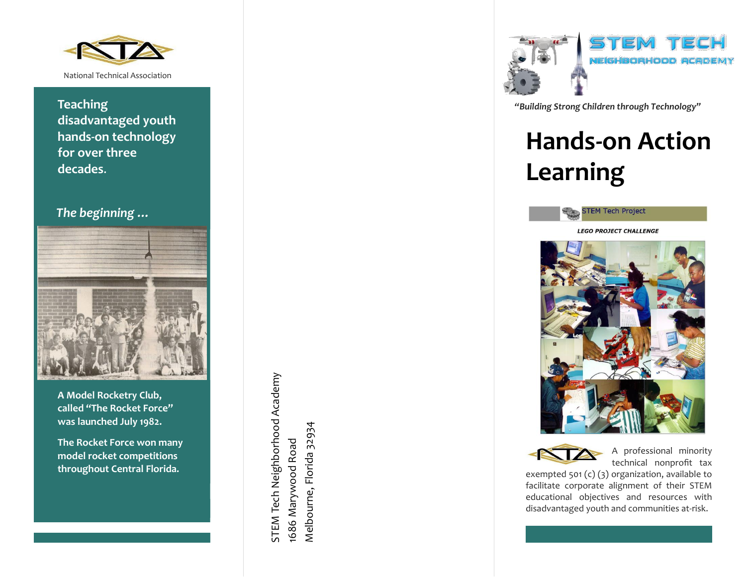

**Teaching disadvantaged youth hands -on technology for over three decades** .

## *The beginning …*



**A Model Rocketry Club, called "The Rocket Force" was launched July 1982 .**

**The Rocket Force won many model rocket competitions throughout Central Florida.**

STEM Tech Neighborhood Academy STEM Tech Neighborhood Academy Melbourne, Florida 32934 Melbourne, Florida 32934 1686 Marywood Road 1686 Marywood Road



*"Building Strong Children through Technology "*

# **Hands -on Action Learning**



**LEGO PROJECT CHALLENGE** 





A professional minority technical nonprofit tax

exempted 501 (c) (3) organization , available to facilitate corporate alignment of their STEM educational objectives and resources with disadvantaged youth and communities at -risk .